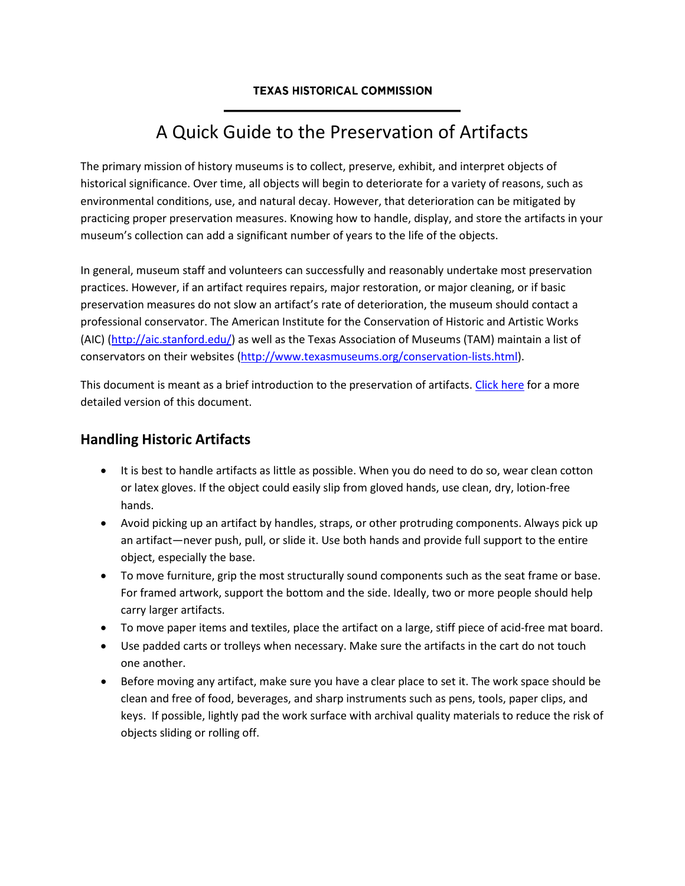#### **TEXAS HISTORICAL COMMISSION**

# A Quick Guide to the Preservation of Artifacts

The primary mission of history museums is to collect, preserve, exhibit, and interpret objects of historical significance. Over time, all objects will begin to deteriorate for a variety of reasons, such as environmental conditions, use, and natural decay. However, that deterioration can be mitigated by practicing proper preservation measures. Knowing how to handle, display, and store the artifacts in your museum's collection can add a significant number of years to the life of the objects.

In general, museum staff and volunteers can successfully and reasonably undertake most preservation practices. However, if an artifact requires repairs, major restoration, or major cleaning, or if basic preservation measures do not slow an artifact's rate of deterioration, the museum should contact a professional conservator. The American Institute for the Conservation of Historic and Artistic Works (AIC) [\(http://aic.stanford.edu/\)](http://aic.stanford.edu/) as well as the Texas Association of Museums (TAM) maintain a list of conservators on their websites [\(http://www.texasmuseums.org/conservation-lists.html\)](http://www.texasmuseums.org/conservation-lists.html).

This document is meant as a brief introduction to the preservation of artifacts. [Click here](http://www.thc.texas.gov/public/upload/publications/Basic%20Guidelines%20for%20the%20Preservation%20of%20historic%20artifacts%202013.pdf) for a more detailed version of this document.

### **Handling Historic Artifacts**

- It is best to handle artifacts as little as possible. When you do need to do so, wear clean cotton or latex gloves. If the object could easily slip from gloved hands, use clean, dry, lotion-free hands.
- Avoid picking up an artifact by handles, straps, or other protruding components. Always pick up an artifact—never push, pull, or slide it. Use both hands and provide full support to the entire object, especially the base.
- To move furniture, grip the most structurally sound components such as the seat frame or base. For framed artwork, support the bottom and the side. Ideally, two or more people should help carry larger artifacts.
- To move paper items and textiles, place the artifact on a large, stiff piece of acid-free mat board.
- Use padded carts or trolleys when necessary. Make sure the artifacts in the cart do not touch one another.
- Before moving any artifact, make sure you have a clear place to set it. The work space should be clean and free of food, beverages, and sharp instruments such as pens, tools, paper clips, and keys. If possible, lightly pad the work surface with archival quality materials to reduce the risk of objects sliding or rolling off.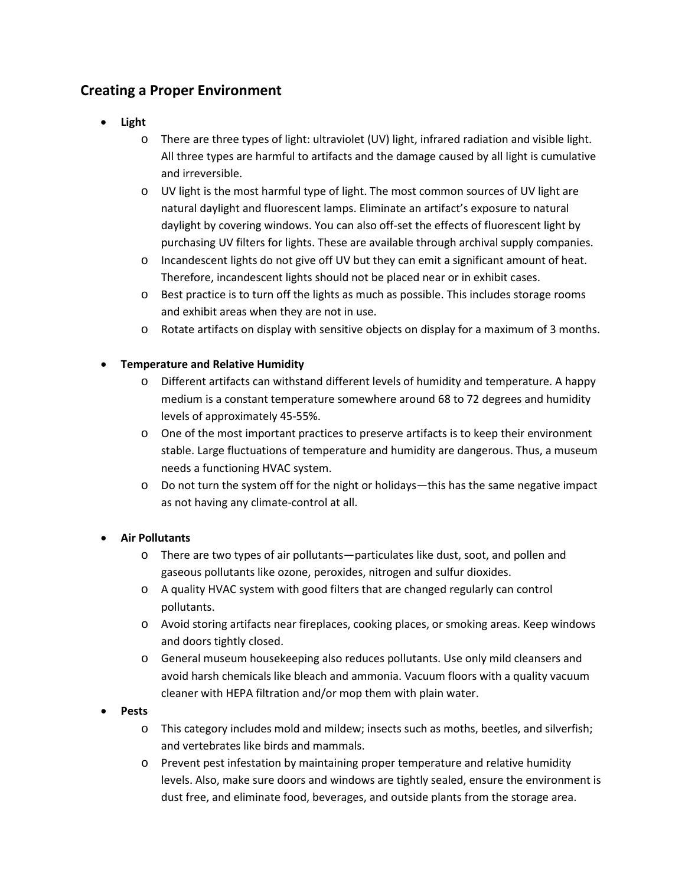### **Creating a Proper Environment**

- **Light**
	- o There are three types of light: ultraviolet (UV) light, infrared radiation and visible light. All three types are harmful to artifacts and the damage caused by all light is cumulative and irreversible.
	- o UV light is the most harmful type of light. The most common sources of UV light are natural daylight and fluorescent lamps. Eliminate an artifact's exposure to natural daylight by covering windows. You can also off-set the effects of fluorescent light by purchasing UV filters for lights. These are available through archival supply companies.
	- o Incandescent lights do not give off UV but they can emit a significant amount of heat. Therefore, incandescent lights should not be placed near or in exhibit cases.
	- o Best practice is to turn off the lights as much as possible. This includes storage rooms and exhibit areas when they are not in use.
	- o Rotate artifacts on display with sensitive objects on display for a maximum of 3 months.

#### • **Temperature and Relative Humidity**

- o Different artifacts can withstand different levels of humidity and temperature. A happy medium is a constant temperature somewhere around 68 to 72 degrees and humidity levels of approximately 45-55%.
- o One of the most important practices to preserve artifacts is to keep their environment stable. Large fluctuations of temperature and humidity are dangerous. Thus, a museum needs a functioning HVAC system.
- o Do not turn the system off for the night or holidays—this has the same negative impact as not having any climate-control at all.

#### • **Air Pollutants**

- o There are two types of air pollutants—particulates like dust, soot, and pollen and gaseous pollutants like ozone, peroxides, nitrogen and sulfur dioxides.
- o A quality HVAC system with good filters that are changed regularly can control pollutants.
- o Avoid storing artifacts near fireplaces, cooking places, or smoking areas. Keep windows and doors tightly closed.
- o General museum housekeeping also reduces pollutants. Use only mild cleansers and avoid harsh chemicals like bleach and ammonia. Vacuum floors with a quality vacuum cleaner with HEPA filtration and/or mop them with plain water.

#### • **Pests**

- o This category includes mold and mildew; insects such as moths, beetles, and silverfish; and vertebrates like birds and mammals.
- o Prevent pest infestation by maintaining proper temperature and relative humidity levels. Also, make sure doors and windows are tightly sealed, ensure the environment is dust free, and eliminate food, beverages, and outside plants from the storage area.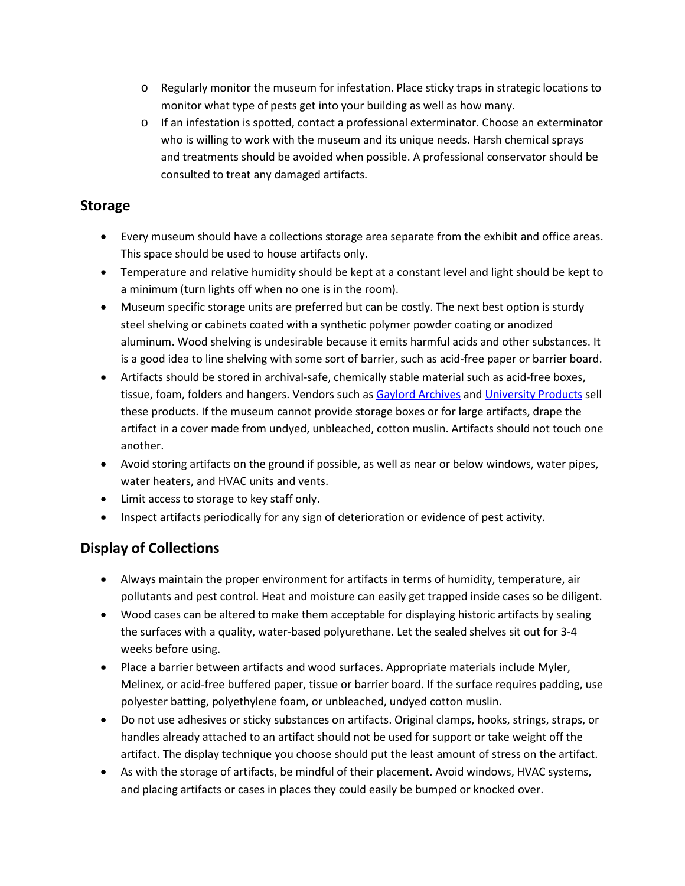- o Regularly monitor the museum for infestation. Place sticky traps in strategic locations to monitor what type of pests get into your building as well as how many.
- o If an infestation is spotted, contact a professional exterminator. Choose an exterminator who is willing to work with the museum and its unique needs. Harsh chemical sprays and treatments should be avoided when possible. A professional conservator should be consulted to treat any damaged artifacts.

### **Storage**

- Every museum should have a collections storage area separate from the exhibit and office areas. This space should be used to house artifacts only.
- Temperature and relative humidity should be kept at a constant level and light should be kept to a minimum (turn lights off when no one is in the room).
- Museum specific storage units are preferred but can be costly. The next best option is sturdy steel shelving or cabinets coated with a synthetic polymer powder coating or anodized aluminum. Wood shelving is undesirable because it emits harmful acids and other substances. It is a good idea to line shelving with some sort of barrier, such as acid-free paper or barrier board.
- Artifacts should be stored in archival-safe, chemically stable material such as acid-free boxes, tissue, foam, folders and hangers. Vendors such as [Gaylord Archives](http://www.gaylord.com/) an[d University Products](http://www.universityproducts.com/) sell these products. If the museum cannot provide storage boxes or for large artifacts, drape the artifact in a cover made from undyed, unbleached, cotton muslin. Artifacts should not touch one another.
- Avoid storing artifacts on the ground if possible, as well as near or below windows, water pipes, water heaters, and HVAC units and vents.
- Limit access to storage to key staff only.
- Inspect artifacts periodically for any sign of deterioration or evidence of pest activity.

### **Display of Collections**

- Always maintain the proper environment for artifacts in terms of humidity, temperature, air pollutants and pest control. Heat and moisture can easily get trapped inside cases so be diligent.
- Wood cases can be altered to make them acceptable for displaying historic artifacts by sealing the surfaces with a quality, water-based polyurethane. Let the sealed shelves sit out for 3-4 weeks before using.
- Place a barrier between artifacts and wood surfaces. Appropriate materials include Myler, Melinex, or acid-free buffered paper, tissue or barrier board. If the surface requires padding, use polyester batting, polyethylene foam, or unbleached, undyed cotton muslin.
- Do not use adhesives or sticky substances on artifacts. Original clamps, hooks, strings, straps, or handles already attached to an artifact should not be used for support or take weight off the artifact. The display technique you choose should put the least amount of stress on the artifact.
- As with the storage of artifacts, be mindful of their placement. Avoid windows, HVAC systems, and placing artifacts or cases in places they could easily be bumped or knocked over.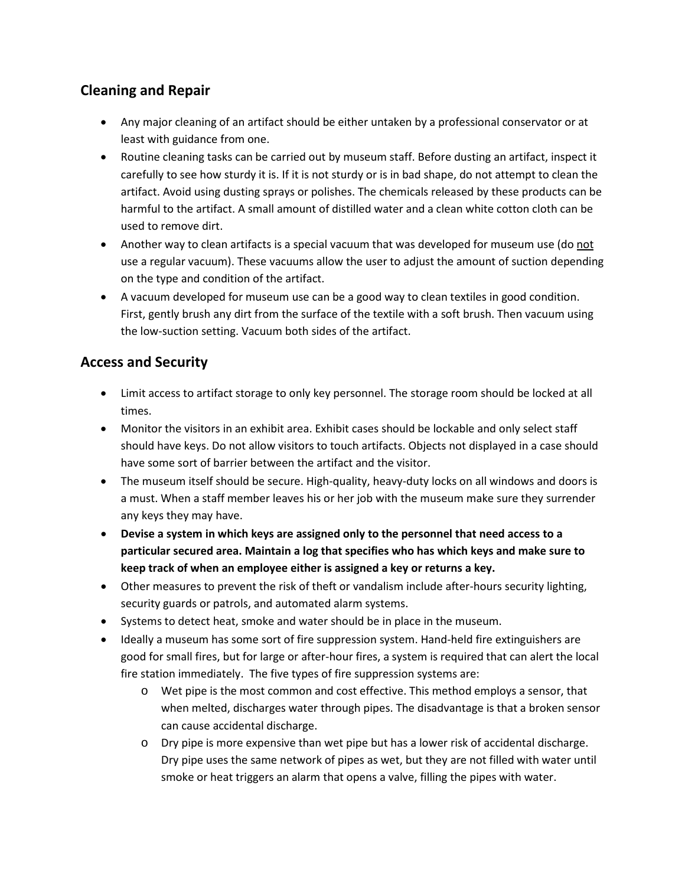## **Cleaning and Repair**

- Any major cleaning of an artifact should be either untaken by a professional conservator or at least with guidance from one.
- Routine cleaning tasks can be carried out by museum staff. Before dusting an artifact, inspect it carefully to see how sturdy it is. If it is not sturdy or is in bad shape, do not attempt to clean the artifact. Avoid using dusting sprays or polishes. The chemicals released by these products can be harmful to the artifact. A small amount of distilled water and a clean white cotton cloth can be used to remove dirt.
- Another way to clean artifacts is a special vacuum that was developed for museum use (do not use a regular vacuum). These vacuums allow the user to adjust the amount of suction depending on the type and condition of the artifact.
- A vacuum developed for museum use can be a good way to clean textiles in good condition. First, gently brush any dirt from the surface of the textile with a soft brush. Then vacuum using the low-suction setting. Vacuum both sides of the artifact.

### **Access and Security**

- Limit access to artifact storage to only key personnel. The storage room should be locked at all times.
- Monitor the visitors in an exhibit area. Exhibit cases should be lockable and only select staff should have keys. Do not allow visitors to touch artifacts. Objects not displayed in a case should have some sort of barrier between the artifact and the visitor.
- The museum itself should be secure. High-quality, heavy-duty locks on all windows and doors is a must. When a staff member leaves his or her job with the museum make sure they surrender any keys they may have.
- **Devise a system in which keys are assigned only to the personnel that need access to a particular secured area. Maintain a log that specifies who has which keys and make sure to keep track of when an employee either is assigned a key or returns a key.**
- Other measures to prevent the risk of theft or vandalism include after-hours security lighting, security guards or patrols, and automated alarm systems.
- Systems to detect heat, smoke and water should be in place in the museum.
- Ideally a museum has some sort of fire suppression system. Hand-held fire extinguishers are good for small fires, but for large or after-hour fires, a system is required that can alert the local fire station immediately. The five types of fire suppression systems are:
	- o Wet pipe is the most common and cost effective. This method employs a sensor, that when melted, discharges water through pipes. The disadvantage is that a broken sensor can cause accidental discharge.
	- o Dry pipe is more expensive than wet pipe but has a lower risk of accidental discharge. Dry pipe uses the same network of pipes as wet, but they are not filled with water until smoke or heat triggers an alarm that opens a valve, filling the pipes with water.